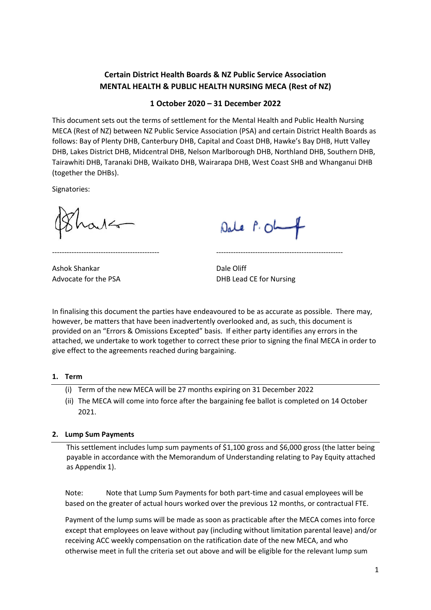# **Certain District Health Boards & NZ Public Service Association MENTAL HEALTH & PUBLIC HEALTH NURSING MECA (Rest of NZ)**

## **1 October 2020 – 31 December 2022**

This document sets out the terms of settlement for the Mental Health and Public Health Nursing MECA (Rest of NZ) between NZ Public Service Association (PSA) and certain District Health Boards as follows: Bay of Plenty DHB, Canterbury DHB, Capital and Coast DHB, Hawke's Bay DHB, Hutt Valley DHB, Lakes District DHB, Midcentral DHB, Nelson Marlborough DHB, Northland DHB, Southern DHB, Tairawhiti DHB, Taranaki DHB, Waikato DHB, Wairarapa DHB, West Coast SHB and Whanganui DHB (together the DHBs).

Signatories:

Dale P. Ol

Ashok Shankar Dale Oliff

Advocate for the PSA DHB Lead CE for Nursing

In finalising this document the parties have endeavoured to be as accurate as possible. There may, however, be matters that have been inadvertently overlooked and, as such, this document is provided on an "Errors & Omissions Excepted" basis. If either party identifies any errors in the attached, we undertake to work together to correct these prior to signing the final MECA in order to give effect to the agreements reached during bargaining.

-------------------------------------------- ----------------------------------------------------

### **1. Term**

- (i) Term of the new MECA will be 27 months expiring on 31 December 2022
- (ii) The MECA will come into force after the bargaining fee ballot is completed on 14 October 2021.

## **2. Lump Sum Payments**

This settlement includes lump sum payments of \$1,100 gross and \$6,000 gross (the latter being payable in accordance with the Memorandum of Understanding relating to Pay Equity attached as Appendix 1).

Note: Note that Lump Sum Payments for both part-time and casual employees will be based on the greater of actual hours worked over the previous 12 months, or contractual FTE.

Payment of the lump sums will be made as soon as practicable after the MECA comes into force except that employees on leave without pay (including without limitation parental leave) and/or receiving ACC weekly compensation on the ratification date of the new MECA, and who otherwise meet in full the criteria set out above and will be eligible for the relevant lump sum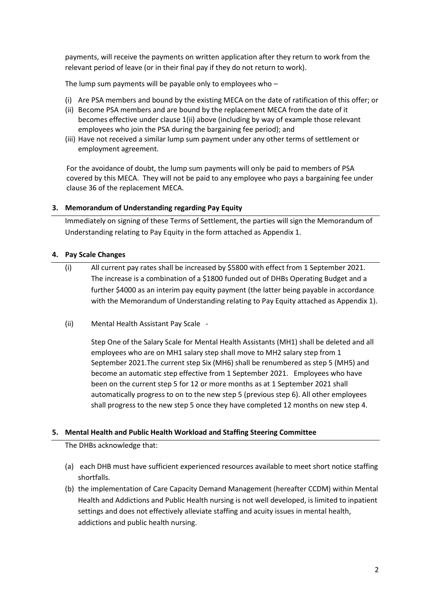payments, will receive the payments on written application after they return to work from the relevant period of leave (or in their final pay if they do not return to work).

The lump sum payments will be payable only to employees who –

- (i) Are PSA members and bound by the existing MECA on the date of ratification of this offer; or
- (ii) Become PSA members and are bound by the replacement MECA from the date of it becomes effective under clause 1(ii) above (including by way of example those relevant employees who join the PSA during the bargaining fee period); and
- (iii) Have not received a similar lump sum payment under any other terms of settlement or employment agreement.

For the avoidance of doubt, the lump sum payments will only be paid to members of PSA covered by this MECA. They will not be paid to any employee who pays a bargaining fee under clause 36 of the replacement MECA.

### **3. Memorandum of Understanding regarding Pay Equity**

Immediately on signing of these Terms of Settlement, the parties will sign the Memorandum of Understanding relating to Pay Equity in the form attached as Appendix 1.

### **4. Pay Scale Changes**

- (i) All current pay rates shall be increased by \$5800 with effect from 1 September 2021. The increase is a combination of a \$1800 funded out of DHBs Operating Budget and a further \$4000 as an interim pay equity payment (the latter being payable in accordance with the Memorandum of Understanding relating to Pay Equity attached as Appendix 1).
- (ii) Mental Health Assistant Pay Scale -

Step One of the Salary Scale for Mental Health Assistants (MH1) shall be deleted and all employees who are on MH1 salary step shall move to MH2 salary step from 1 September 2021.The current step Six (MH6) shall be renumbered as step 5 (MH5) and become an automatic step effective from 1 September 2021. Employees who have been on the current step 5 for 12 or more months as at 1 September 2021 shall automatically progress to on to the new step 5 (previous step 6). All other employees shall progress to the new step 5 once they have completed 12 months on new step 4.

### **5. Mental Health and Public Health Workload and Staffing Steering Committee**

The DHBs acknowledge that:

- (a) each DHB must have sufficient experienced resources available to meet short notice staffing shortfalls.
- (b) the implementation of Care Capacity Demand Management (hereafter CCDM) within Mental Health and Addictions and Public Health nursing is not well developed, is limited to inpatient settings and does not effectively alleviate staffing and acuity issues in mental health, addictions and public health nursing.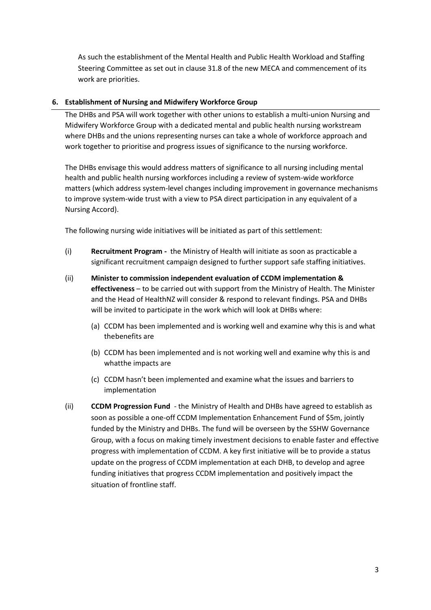As such the establishment of the Mental Health and Public Health Workload and Staffing Steering Committee as set out in clause 31.8 of the new MECA and commencement of its work are priorities.

## **6. Establishment of Nursing and Midwifery Workforce Group**

The DHBs and PSA will work together with other unions to establish a multi-union Nursing and Midwifery Workforce Group with a dedicated mental and public health nursing workstream where DHBs and the unions representing nurses can take a whole of workforce approach and work together to prioritise and progress issues of significance to the nursing workforce.

The DHBs envisage this would address matters of significance to all nursing including mental health and public health nursing workforces including a review of system-wide workforce matters (which address system-level changes including improvement in governance mechanisms to improve system-wide trust with a view to PSA direct participation in any equivalent of a Nursing Accord).

The following nursing wide initiatives will be initiated as part of this settlement:

- (i) **Recruitment Program -** the Ministry of Health will initiate as soon as practicable a significant recruitment campaign designed to further support safe staffing initiatives.
- (ii) **Minister to commission independent evaluation of CCDM implementation & effectiveness** – to be carried out with support from the Ministry of Health. The Minister and the Head of HealthNZ will consider & respond to relevant findings. PSA and DHBs will be invited to participate in the work which will look at DHBs where:
	- (a) CCDM has been implemented and is working well and examine why this is and what the benefits are
	- (b) CCDM has been implemented and is not working well and examine why this is and whatthe impacts are
	- (c) CCDM hasn't been implemented and examine what the issues and barriers to implementation
- (ii) **CCDM Progression Fund** the Ministry of Health and DHBs have agreed to establish as soon as possible a one-off CCDM Implementation Enhancement Fund of \$5m, jointly funded by the Ministry and DHBs. The fund will be overseen by the SSHW Governance Group, with a focus on making timely investment decisions to enable faster and effective progress with implementation of CCDM. A key first initiative will be to provide a status update on the progress of CCDM implementation at each DHB, to develop and agree funding initiatives that progress CCDM implementation and positively impact the situation of frontline staff.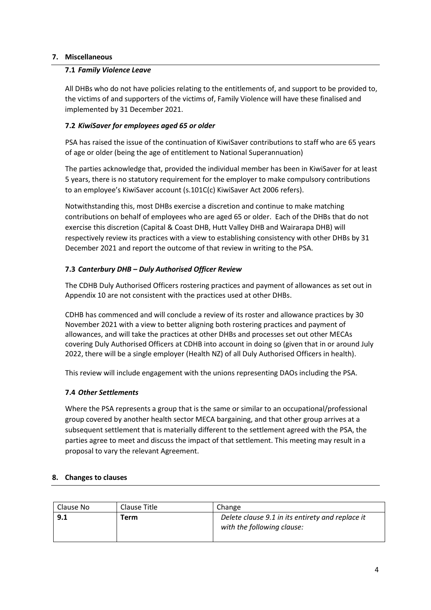## **7. Miscellaneous**

### **7.1** *Family Violence Leave*

All DHBs who do not have policies relating to the entitlements of, and support to be provided to, the victims of and supporters of the victims of, Family Violence will have these finalised and implemented by 31 December 2021.

## **7.2** *KiwiSaver for employees aged 65 or older*

PSA has raised the issue of the continuation of KiwiSaver contributions to staff who are 65 years of age or older (being the age of entitlement to National Superannuation)

The parties acknowledge that, provided the individual member has been in KiwiSaver for at least 5 years, there is no statutory requirement for the employer to make compulsory contributions to an employee's KiwiSaver account (s.101C(c) KiwiSaver Act 2006 refers).

Notwithstanding this, most DHBs exercise a discretion and continue to make matching contributions on behalf of employees who are aged 65 or older. Each of the DHBs that do not exercise this discretion (Capital & Coast DHB, Hutt Valley DHB and Wairarapa DHB) will respectively review its practices with a view to establishing consistency with other DHBs by 31 December 2021 and report the outcome of that review in writing to the PSA.

## **7.3** *Canterbury DHB – Duly Authorised Officer Review*

The CDHB Duly Authorised Officers rostering practices and payment of allowances as set out in Appendix 10 are not consistent with the practices used at other DHBs.

CDHB has commenced and will conclude a review of its roster and allowance practices by 30 November 2021 with a view to better aligning both rostering practices and payment of allowances, and will take the practices at other DHBs and processes set out other MECAs covering Duly Authorised Officers at CDHB into account in doing so (given that in or around July 2022, there will be a single employer (Health NZ) of all Duly Authorised Officers in health).

This review will include engagement with the unions representing DAOs including the PSA.

## **7.4** *Other Settlements*

Where the PSA represents a group that is the same or similar to an occupational/professional group covered by another health sector MECA bargaining, and that other group arrives at a subsequent settlement that is materially different to the settlement agreed with the PSA, the parties agree to meet and discuss the impact of that settlement. This meeting may result in a proposal to vary the relevant Agreement.

## **8. Changes to clauses**

| Clause No | Clause Title | Change                                                                         |
|-----------|--------------|--------------------------------------------------------------------------------|
| 9.1       | Term         | Delete clause 9.1 in its entirety and replace it<br>with the following clause: |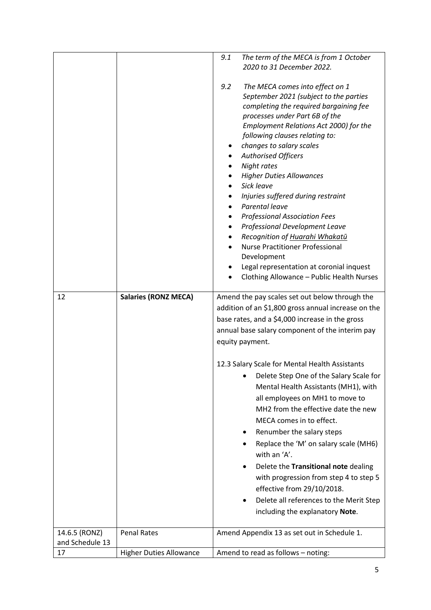|                       |                                | 9.1<br>The term of the MECA is from 1 October<br>2020 to 31 December 2022.                                                                                                                                                                                                                                                                                                                                                                                                                                                                                                                                                                                                               |
|-----------------------|--------------------------------|------------------------------------------------------------------------------------------------------------------------------------------------------------------------------------------------------------------------------------------------------------------------------------------------------------------------------------------------------------------------------------------------------------------------------------------------------------------------------------------------------------------------------------------------------------------------------------------------------------------------------------------------------------------------------------------|
|                       |                                |                                                                                                                                                                                                                                                                                                                                                                                                                                                                                                                                                                                                                                                                                          |
|                       |                                | 9.2<br>The MECA comes into effect on 1<br>September 2021 (subject to the parties<br>completing the required bargaining fee<br>processes under Part 6B of the<br>Employment Relations Act 2000) for the<br>following clauses relating to:<br>changes to salary scales<br><b>Authorised Officers</b><br>Night rates<br><b>Higher Duties Allowances</b><br>Sick leave<br>Injuries suffered during restraint<br>Parental leave<br><b>Professional Association Fees</b><br>Professional Development Leave<br>Recognition of Huarahi Whakatū<br><b>Nurse Practitioner Professional</b><br>Development<br>Legal representation at coronial inquest<br>Clothing Allowance - Public Health Nurses |
| 12                    | <b>Salaries (RONZ MECA)</b>    | Amend the pay scales set out below through the                                                                                                                                                                                                                                                                                                                                                                                                                                                                                                                                                                                                                                           |
|                       |                                | addition of an \$1,800 gross annual increase on the<br>base rates, and a \$4,000 increase in the gross<br>annual base salary component of the interim pay<br>equity payment.                                                                                                                                                                                                                                                                                                                                                                                                                                                                                                             |
|                       |                                | 12.3 Salary Scale for Mental Health Assistants<br>Delete Step One of the Salary Scale for<br>Mental Health Assistants (MH1), with<br>all employees on MH1 to move to                                                                                                                                                                                                                                                                                                                                                                                                                                                                                                                     |
|                       |                                | MH2 from the effective date the new                                                                                                                                                                                                                                                                                                                                                                                                                                                                                                                                                                                                                                                      |
|                       |                                | MECA comes in to effect.                                                                                                                                                                                                                                                                                                                                                                                                                                                                                                                                                                                                                                                                 |
|                       |                                | Renumber the salary steps<br>Replace the 'M' on salary scale (MH6)<br>with an 'A'.                                                                                                                                                                                                                                                                                                                                                                                                                                                                                                                                                                                                       |
|                       |                                | Delete the Transitional note dealing<br>with progression from step 4 to step 5<br>effective from 29/10/2018.                                                                                                                                                                                                                                                                                                                                                                                                                                                                                                                                                                             |
|                       |                                | Delete all references to the Merit Step                                                                                                                                                                                                                                                                                                                                                                                                                                                                                                                                                                                                                                                  |
|                       |                                | including the explanatory Note.                                                                                                                                                                                                                                                                                                                                                                                                                                                                                                                                                                                                                                                          |
| 14.6.5 (RONZ)         | <b>Penal Rates</b>             | Amend Appendix 13 as set out in Schedule 1.                                                                                                                                                                                                                                                                                                                                                                                                                                                                                                                                                                                                                                              |
| and Schedule 13<br>17 | <b>Higher Duties Allowance</b> | Amend to read as follows - noting:                                                                                                                                                                                                                                                                                                                                                                                                                                                                                                                                                                                                                                                       |
|                       |                                |                                                                                                                                                                                                                                                                                                                                                                                                                                                                                                                                                                                                                                                                                          |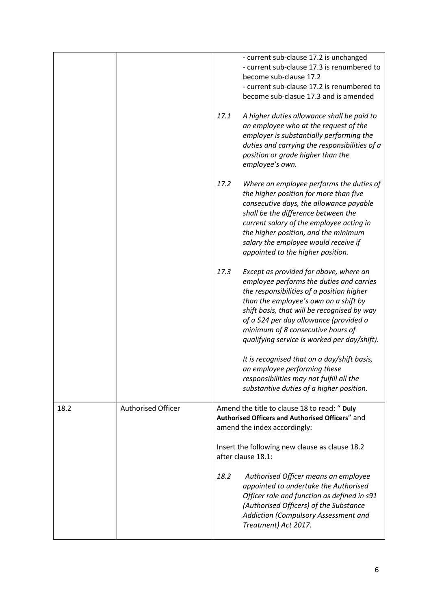|      |                           |                    | - current sub-clause 17.2 is unchanged<br>- current sub-clause 17.3 is renumbered to<br>become sub-clause 17.2<br>- current sub-clause 17.2 is renumbered to<br>become sub-clasue 17.3 and is amended                                                                                                                                                   |
|------|---------------------------|--------------------|---------------------------------------------------------------------------------------------------------------------------------------------------------------------------------------------------------------------------------------------------------------------------------------------------------------------------------------------------------|
|      |                           | 17.1               | A higher duties allowance shall be paid to<br>an employee who at the request of the<br>employer is substantially performing the<br>duties and carrying the responsibilities of a<br>position or grade higher than the<br>employee's own.                                                                                                                |
|      |                           | 17.2               | Where an employee performs the duties of<br>the higher position for more than five<br>consecutive days, the allowance payable<br>shall be the difference between the<br>current salary of the employee acting in<br>the higher position, and the minimum<br>salary the employee would receive if<br>appointed to the higher position.                   |
|      |                           | 17.3               | Except as provided for above, where an<br>employee performs the duties and carries<br>the responsibilities of a position higher<br>than the employee's own on a shift by<br>shift basis, that will be recognised by way<br>of a \$24 per day allowance (provided a<br>minimum of 8 consecutive hours of<br>qualifying service is worked per day/shift). |
|      |                           |                    | It is recognised that on a day/shift basis,<br>an employee performing these<br>responsibilities may not fulfill all the<br>substantive duties of a higher position.                                                                                                                                                                                     |
| 18.2 | <b>Authorised Officer</b> |                    | Amend the title to clause 18 to read: " Duly<br>Authorised Officers and Authorised Officers" and<br>amend the index accordingly:                                                                                                                                                                                                                        |
|      |                           | after clause 18.1: | Insert the following new clause as clause 18.2                                                                                                                                                                                                                                                                                                          |
|      |                           | 18.2               | Authorised Officer means an employee<br>appointed to undertake the Authorised<br>Officer role and function as defined in s91<br>(Authorised Officers) of the Substance<br>Addiction (Compulsory Assessment and<br>Treatment) Act 2017.                                                                                                                  |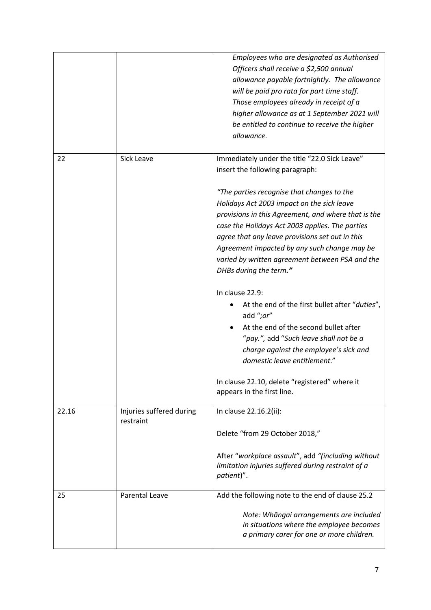|       |                                       | Employees who are designated as Authorised<br>Officers shall receive a \$2,500 annual<br>allowance payable fortnightly. The allowance<br>will be paid pro rata for part time staff.<br>Those employees already in receipt of a<br>higher allowance as at 1 September 2021 will<br>be entitled to continue to receive the higher<br>allowance.                                                                                                                                                                                                                                                                                                                                                                                                                                                        |
|-------|---------------------------------------|------------------------------------------------------------------------------------------------------------------------------------------------------------------------------------------------------------------------------------------------------------------------------------------------------------------------------------------------------------------------------------------------------------------------------------------------------------------------------------------------------------------------------------------------------------------------------------------------------------------------------------------------------------------------------------------------------------------------------------------------------------------------------------------------------|
| 22    | Sick Leave                            | Immediately under the title "22.0 Sick Leave"<br>insert the following paragraph:<br>"The parties recognise that changes to the<br>Holidays Act 2003 impact on the sick leave<br>provisions in this Agreement, and where that is the<br>case the Holidays Act 2003 applies. The parties<br>agree that any leave provisions set out in this<br>Agreement impacted by any such change may be<br>varied by written agreement between PSA and the<br>DHBs during the term."<br>In clause 22.9:<br>At the end of the first bullet after "duties",<br>add ";or"<br>At the end of the second bullet after<br>"pay.", add "Such leave shall not be a<br>charge against the employee's sick and<br>domestic leave entitlement."<br>In clause 22.10, delete "registered" where it<br>appears in the first line. |
| 22.16 | Injuries suffered during<br>restraint | In clause 22.16.2(ii):<br>Delete "from 29 October 2018,"<br>After "workplace assault", add "(including without<br>limitation injuries suffered during restraint of a<br>patient)".                                                                                                                                                                                                                                                                                                                                                                                                                                                                                                                                                                                                                   |
| 25    | <b>Parental Leave</b>                 | Add the following note to the end of clause 25.2<br>Note: Whāngai arrangements are included<br>in situations where the employee becomes<br>a primary carer for one or more children.                                                                                                                                                                                                                                                                                                                                                                                                                                                                                                                                                                                                                 |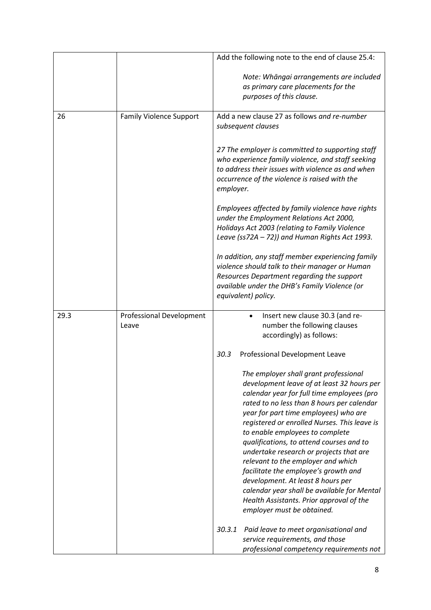|      |                                          | Add the following note to the end of clause 25.4:                                                                                                                                                                                                                                                                                                                                                                                                                                                                                                                                                                                              |
|------|------------------------------------------|------------------------------------------------------------------------------------------------------------------------------------------------------------------------------------------------------------------------------------------------------------------------------------------------------------------------------------------------------------------------------------------------------------------------------------------------------------------------------------------------------------------------------------------------------------------------------------------------------------------------------------------------|
|      |                                          | Note: Whāngai arrangements are included<br>as primary care placements for the<br>purposes of this clause.                                                                                                                                                                                                                                                                                                                                                                                                                                                                                                                                      |
| 26   | <b>Family Violence Support</b>           | Add a new clause 27 as follows and re-number<br>subsequent clauses                                                                                                                                                                                                                                                                                                                                                                                                                                                                                                                                                                             |
|      |                                          | 27 The employer is committed to supporting staff<br>who experience family violence, and staff seeking<br>to address their issues with violence as and when<br>occurrence of the violence is raised with the<br>employer.                                                                                                                                                                                                                                                                                                                                                                                                                       |
|      |                                          | Employees affected by family violence have rights<br>under the Employment Relations Act 2000,<br>Holidays Act 2003 (relating to Family Violence<br>Leave (ss72A - 72)) and Human Rights Act 1993.                                                                                                                                                                                                                                                                                                                                                                                                                                              |
|      |                                          | In addition, any staff member experiencing family<br>violence should talk to their manager or Human<br>Resources Department regarding the support<br>available under the DHB's Family Violence (or<br>equivalent) policy.                                                                                                                                                                                                                                                                                                                                                                                                                      |
| 29.3 | <b>Professional Development</b><br>Leave | Insert new clause 30.3 (and re-<br>number the following clauses<br>accordingly) as follows:                                                                                                                                                                                                                                                                                                                                                                                                                                                                                                                                                    |
|      |                                          | 30.3<br>Professional Development Leave                                                                                                                                                                                                                                                                                                                                                                                                                                                                                                                                                                                                         |
|      |                                          | The employer shall grant professional<br>development leave of at least 32 hours per<br>calendar year for full time employees (pro<br>rated to no less than 8 hours per calendar<br>year for part time employees) who are<br>registered or enrolled Nurses. This leave is<br>to enable employees to complete<br>qualifications, to attend courses and to<br>undertake research or projects that are<br>relevant to the employer and which<br>facilitate the employee's growth and<br>development. At least 8 hours per<br>calendar year shall be available for Mental<br>Health Assistants. Prior approval of the<br>employer must be obtained. |
|      |                                          | 30.3.1<br>Paid leave to meet organisational and<br>service requirements, and those<br>professional competency requirements not                                                                                                                                                                                                                                                                                                                                                                                                                                                                                                                 |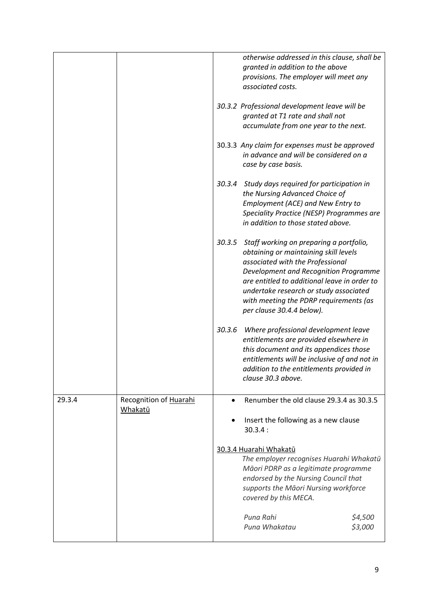|        |                                   |           | otherwise addressed in this clause, shall be<br>granted in addition to the above<br>provisions. The employer will meet any<br>associated costs.                                                                                                                                                                                       |                    |
|--------|-----------------------------------|-----------|---------------------------------------------------------------------------------------------------------------------------------------------------------------------------------------------------------------------------------------------------------------------------------------------------------------------------------------|--------------------|
|        |                                   |           | 30.3.2 Professional development leave will be<br>granted at T1 rate and shall not<br>accumulate from one year to the next.                                                                                                                                                                                                            |                    |
|        |                                   |           | 30.3.3 Any claim for expenses must be approved<br>in advance and will be considered on a<br>case by case basis.                                                                                                                                                                                                                       |                    |
|        |                                   |           | 30.3.4 Study days required for participation in<br>the Nursing Advanced Choice of<br>Employment (ACE) and New Entry to<br>Speciality Practice (NESP) Programmes are<br>in addition to those stated above.                                                                                                                             |                    |
|        |                                   |           | 30.3.5 Staff working on preparing a portfolio,<br>obtaining or maintaining skill levels<br>associated with the Professional<br>Development and Recognition Programme<br>are entitled to additional leave in order to<br>undertake research or study associated<br>with meeting the PDRP requirements (as<br>per clause 30.4.4 below). |                    |
|        |                                   | 30.3.6    | Where professional development leave<br>entitlements are provided elsewhere in<br>this document and its appendices those<br>entitlements will be inclusive of and not in<br>addition to the entitlements provided in<br>clause 30.3 above.                                                                                            |                    |
| 29.3.4 | Recognition of Huarahi<br>Whakatū | $\bullet$ | Renumber the old clause 29.3.4 as 30.3.5                                                                                                                                                                                                                                                                                              |                    |
|        |                                   |           | Insert the following as a new clause<br>30.3.4:                                                                                                                                                                                                                                                                                       |                    |
|        |                                   |           | 30.3.4 Huarahi Whakatū<br>The employer recognises Huarahi Whakatū<br>Māori PDRP as a legitimate programme<br>endorsed by the Nursing Council that<br>supports the Māori Nursing workforce<br>covered by this MECA.                                                                                                                    |                    |
|        |                                   |           | Puna Rahi<br>Puna Whakatau                                                                                                                                                                                                                                                                                                            | \$4,500<br>\$3,000 |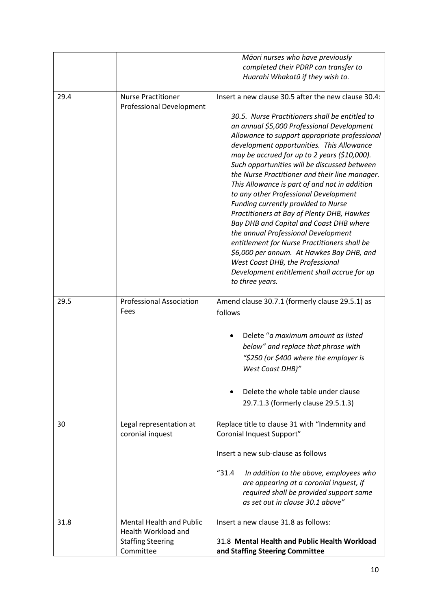|      |                                                                                                 | Māori nurses who have previously<br>completed their PDRP can transfer to<br>Huarahi Whakatū if they wish to.                                                                                                                                                                                                                                                                                                                                                                                                                                                                                                                                                                                                                                                                                                                                                            |
|------|-------------------------------------------------------------------------------------------------|-------------------------------------------------------------------------------------------------------------------------------------------------------------------------------------------------------------------------------------------------------------------------------------------------------------------------------------------------------------------------------------------------------------------------------------------------------------------------------------------------------------------------------------------------------------------------------------------------------------------------------------------------------------------------------------------------------------------------------------------------------------------------------------------------------------------------------------------------------------------------|
| 29.4 | <b>Nurse Practitioner</b><br><b>Professional Development</b>                                    | Insert a new clause 30.5 after the new clause 30.4:<br>30.5. Nurse Practitioners shall be entitled to<br>an annual \$5,000 Professional Development<br>Allowance to support appropriate professional<br>development opportunities. This Allowance<br>may be accrued for up to 2 years (\$10,000).<br>Such opportunities will be discussed between<br>the Nurse Practitioner and their line manager.<br>This Allowance is part of and not in addition<br>to any other Professional Development<br>Funding currently provided to Nurse<br>Practitioners at Bay of Plenty DHB, Hawkes<br>Bay DHB and Capital and Coast DHB where<br>the annual Professional Development<br>entitlement for Nurse Practitioners shall be<br>\$6,000 per annum. At Hawkes Bay DHB, and<br>West Coast DHB, the Professional<br>Development entitlement shall accrue for up<br>to three years. |
| 29.5 | <b>Professional Association</b><br>Fees                                                         | Amend clause 30.7.1 (formerly clause 29.5.1) as<br>follows<br>Delete "a maximum amount as listed<br>below" and replace that phrase with<br>"\$250 (or \$400 where the employer is<br>West Coast DHB)"<br>Delete the whole table under clause<br>29.7.1.3 (formerly clause 29.5.1.3)                                                                                                                                                                                                                                                                                                                                                                                                                                                                                                                                                                                     |
| 30   | Legal representation at<br>coronial inquest                                                     | Replace title to clause 31 with "Indemnity and<br>Coronial Inquest Support"<br>Insert a new sub-clause as follows<br>$^{\prime\prime}31.4$<br>In addition to the above, employees who<br>are appearing at a coronial inquest, if<br>required shall be provided support same<br>as set out in clause 30.1 above"                                                                                                                                                                                                                                                                                                                                                                                                                                                                                                                                                         |
| 31.8 | <b>Mental Health and Public</b><br>Health Workload and<br><b>Staffing Steering</b><br>Committee | Insert a new clause 31.8 as follows:<br>31.8 Mental Health and Public Health Workload<br>and Staffing Steering Committee                                                                                                                                                                                                                                                                                                                                                                                                                                                                                                                                                                                                                                                                                                                                                |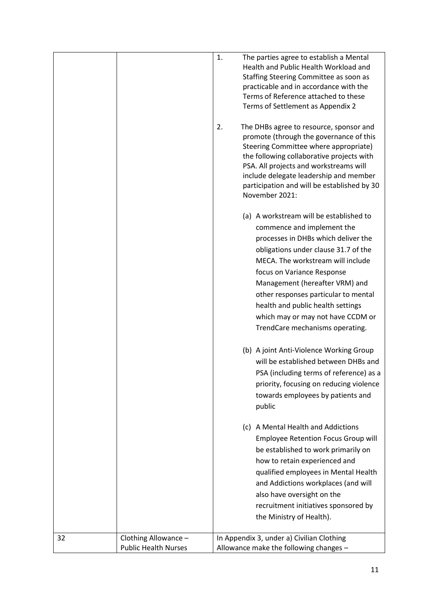|    |                                                     | 1. | The parties agree to establish a Mental<br>Health and Public Health Workload and<br>Staffing Steering Committee as soon as<br>practicable and in accordance with the<br>Terms of Reference attached to these<br>Terms of Settlement as Appendix 2                                                                                                                                                              |
|----|-----------------------------------------------------|----|----------------------------------------------------------------------------------------------------------------------------------------------------------------------------------------------------------------------------------------------------------------------------------------------------------------------------------------------------------------------------------------------------------------|
|    |                                                     | 2. | The DHBs agree to resource, sponsor and<br>promote (through the governance of this<br>Steering Committee where appropriate)<br>the following collaborative projects with<br>PSA. All projects and workstreams will<br>include delegate leadership and member<br>participation and will be established by 30<br>November 2021:                                                                                  |
|    |                                                     |    | (a) A workstream will be established to<br>commence and implement the<br>processes in DHBs which deliver the<br>obligations under clause 31.7 of the<br>MECA. The workstream will include<br>focus on Variance Response<br>Management (hereafter VRM) and<br>other responses particular to mental<br>health and public health settings<br>which may or may not have CCDM or<br>TrendCare mechanisms operating. |
|    |                                                     |    | (b) A joint Anti-Violence Working Group<br>will be established between DHBs and<br>PSA (including terms of reference) as a<br>priority, focusing on reducing violence<br>towards employees by patients and<br>public                                                                                                                                                                                           |
|    |                                                     |    | (c) A Mental Health and Addictions<br><b>Employee Retention Focus Group will</b><br>be established to work primarily on<br>how to retain experienced and<br>qualified employees in Mental Health<br>and Addictions workplaces (and will<br>also have oversight on the<br>recruitment initiatives sponsored by<br>the Ministry of Health).                                                                      |
| 32 | Clothing Allowance -<br><b>Public Health Nurses</b> |    | In Appendix 3, under a) Civilian Clothing<br>Allowance make the following changes -                                                                                                                                                                                                                                                                                                                            |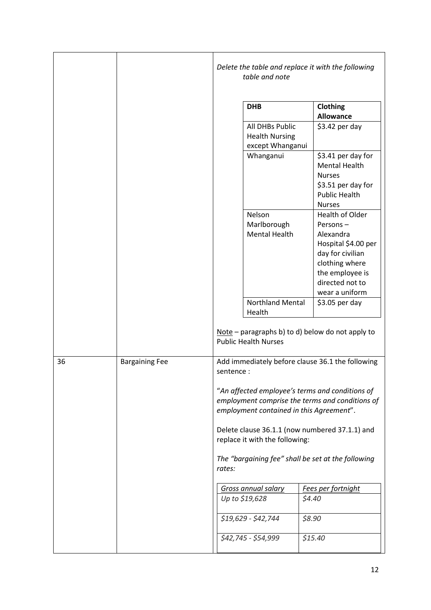|    |                       |           | table and note                                               | Delete the table and replace it with the following                                                                                                            |
|----|-----------------------|-----------|--------------------------------------------------------------|---------------------------------------------------------------------------------------------------------------------------------------------------------------|
|    |                       |           | <b>DHB</b>                                                   | Clothing<br><b>Allowance</b>                                                                                                                                  |
|    |                       |           | All DHBs Public<br><b>Health Nursing</b><br>except Whanganui | $$3.42$ per day                                                                                                                                               |
|    |                       |           | Whanganui                                                    | \$3.41 per day for<br><b>Mental Health</b><br><b>Nurses</b><br>\$3.51 per day for<br><b>Public Health</b><br><b>Nurses</b>                                    |
|    |                       |           | Nelson<br>Marlborough<br><b>Mental Health</b>                | Health of Older<br>Persons-<br>Alexandra<br>Hospital \$4.00 per<br>day for civilian<br>clothing where<br>the employee is<br>directed not to<br>wear a uniform |
|    |                       |           | <b>Northland Mental</b><br>Health                            | \$3.05 per day                                                                                                                                                |
|    |                       |           | <b>Public Health Nurses</b>                                  | $Note$ – paragraphs b) to d) below do not apply to                                                                                                            |
| 36 | <b>Bargaining Fee</b> | sentence: |                                                              | Add immediately before clause 36.1 the following                                                                                                              |
|    |                       |           |                                                              | "An affected employee's terms and conditions of<br>employment comprise the terms and conditions of<br>employment contained in this Agreement".                |
|    |                       |           | replace it with the following:                               | Delete clause 36.1.1 (now numbered 37.1.1) and                                                                                                                |
|    |                       | rates:    |                                                              | The "bargaining fee" shall be set at the following                                                                                                            |
|    |                       |           | <b>Gross annual salary</b>                                   | Fees per fortnight                                                                                                                                            |
|    |                       |           | Up to \$19,628                                               | \$4.40                                                                                                                                                        |
|    |                       |           | \$19,629 - \$42,744                                          | \$8.90                                                                                                                                                        |
|    |                       |           | \$42,745 - \$54,999                                          | \$15.40                                                                                                                                                       |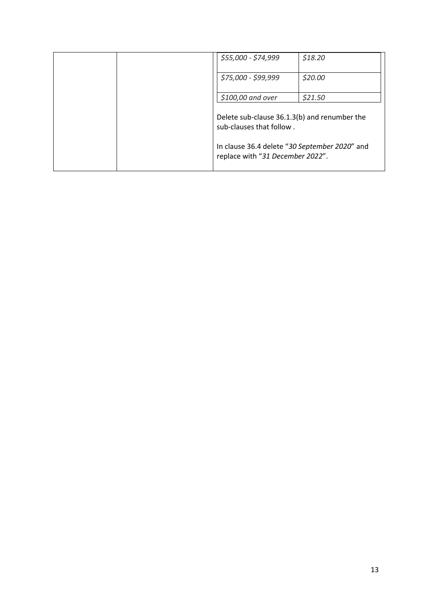|  | \$55,000 - \$74,999                                                               | \$18.20 |
|--|-----------------------------------------------------------------------------------|---------|
|  | \$75,000 - \$99,999                                                               | \$20.00 |
|  | \$100,00 and over                                                                 | \$21.50 |
|  | Delete sub-clause 36.1.3(b) and renumber the<br>sub-clauses that follow.          |         |
|  | In clause 36.4 delete "30 September 2020" and<br>replace with "31 December 2022". |         |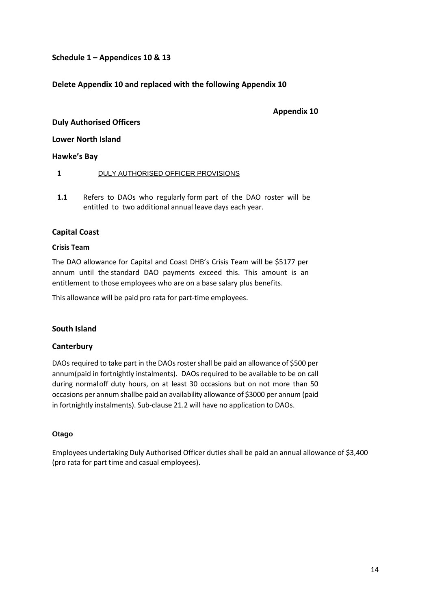## **Schedule 1 – Appendices 10 & 13**

## **Delete Appendix 10 and replaced with the following Appendix 10**

### **Appendix 10**

### **Duly Authorised Officers**

**Lower North Island** 

### **Hawke's Bay**

### **1** DULY AUTHORISED OFFICER PROVISIONS

**1.1** Refers to DAOs who regularly form part of the DAO roster will be entitled to two additional annual leave days each year.

### **Capital Coast**

### **Crisis Team**

The DAO allowance for Capital and Coast DHB's Crisis Team will be \$5177 per annum until the standard DAO payments exceed this. This amount is an entitlement to those employees who are on a base salary plus benefits.

This allowance will be paid pro rata for part-time employees.

### **South Island**

### **Canterbury**

DAOs required to take part in the DAOs rostershall be paid an allowance of \$500 per annum(paid in fortnightly instalments). DAOs required to be available to be on call during normaloff duty hours, on at least 30 occasions but on not more than 50 occasions per annum shallbe paid an availability allowance of \$3000 per annum (paid in fortnightly instalments). Sub-clause 21.2 will have no application to DAOs.

### **Otago**

Employees undertaking Duly Authorised Officer dutiesshall be paid an annual allowance of \$3,400 (pro rata for part time and casual employees).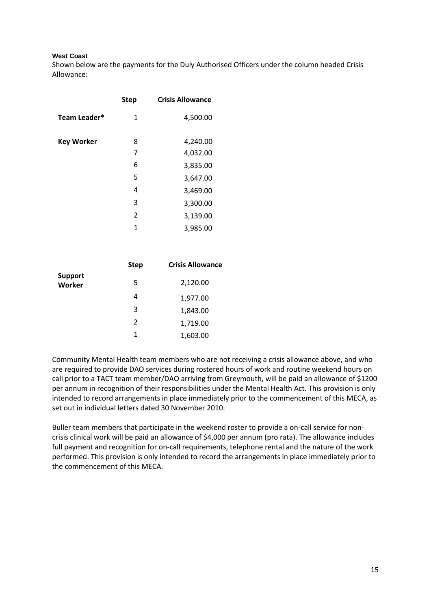### **West Coast**

Shown below are the payments for the Duly Authorised Officers under the column headed Crisis Allowance:

|                   | <b>Step</b> | <b>Crisis Allowance</b> |
|-------------------|-------------|-------------------------|
| Team Leader*      | 1           | 4,500.00                |
| <b>Key Worker</b> | 8           | 4,240.00                |
|                   | 7           | 4,032.00                |
|                   | 6           | 3,835.00                |
|                   | 5           | 3,647.00                |
|                   | 4           | 3,469.00                |
|                   | 3           | 3,300.00                |
|                   | 2           | 3,139.00                |
|                   | 1           | 3,985.00                |

|                                 | <b>Step</b>   | <b>Crisis Allowance</b> |
|---------------------------------|---------------|-------------------------|
| <b>Support</b><br><b>Worker</b> | 5             | 2,120.00                |
|                                 | 4             | 1,977.00                |
|                                 | 3             | 1,843.00                |
|                                 | $\mathcal{P}$ | 1,719.00                |
|                                 | 1             | 1,603.00                |

Community Mental Health team members who are not receiving a crisis allowance above, and who are required to provide DAO services during rostered hours of work and routine weekend hours on call prior to a TACT team member/DAO arriving from Greymouth, will be paid an allowance of \$1200 per annum in recognition of their responsibilities under the Mental Health Act. This provision is only intended to record arrangements in place immediately prior to the commencement of this MECA, as set out in individual letters dated 30 November 2010.

Buller team members that participate in the weekend roster to provide a on-call service for noncrisis clinical work will be paid an allowance of \$4,000 per annum (pro rata). The allowance includes full payment and recognition for on-call requirements, telephone rental and the nature of the work performed. This provision is only intended to record the arrangements in place immediately prior to the commencement of this MECA.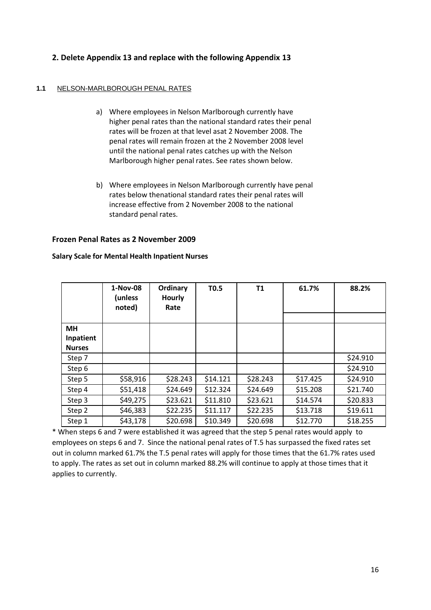## **2. Delete Appendix 13 and replace with the following Appendix 13**

### **1.1** NELSON-MARLBOROUGH PENAL RATES

- a) Where employees in Nelson Marlborough currently have higher penal rates than the national standard rates their penal rates will be frozen at that level asat 2 November 2008. The penal rates will remain frozen at the 2 November 2008 level until the national penal rates catches up with the Nelson Marlborough higher penal rates. See rates shown below.
- b) Where employees in Nelson Marlborough currently have penal rates below thenational standard rates their penal rates will increase effective from 2 November 2008 to the national standard penal rates.

### **Frozen Penal Rates as 2 November 2009**

|               | 1-Nov-08<br>(unless<br>noted) | Ordinary<br><b>Hourly</b><br>Rate | <b>T0.5</b> | T1       | 61.7%    | 88.2%    |
|---------------|-------------------------------|-----------------------------------|-------------|----------|----------|----------|
|               |                               |                                   |             |          |          |          |
| <b>MH</b>     |                               |                                   |             |          |          |          |
| Inpatient     |                               |                                   |             |          |          |          |
| <b>Nurses</b> |                               |                                   |             |          |          |          |
| Step 7        |                               |                                   |             |          |          | \$24.910 |
| Step 6        |                               |                                   |             |          |          | \$24.910 |
| Step 5        | \$58,916                      | \$28.243                          | \$14.121    | \$28.243 | \$17.425 | \$24.910 |
| Step 4        | \$51,418                      | \$24.649                          | \$12.324    | \$24.649 | \$15.208 | \$21.740 |
| Step 3        | \$49,275                      | \$23.621                          | \$11.810    | \$23.621 | \$14.574 | \$20.833 |
| Step 2        | \$46,383                      | \$22.235                          | \$11.117    | \$22.235 | \$13.718 | \$19.611 |
| Step 1        | \$43,178                      | \$20.698                          | \$10.349    | \$20.698 | \$12.770 | \$18.255 |

### **Salary Scale for Mental Health Inpatient Nurses**

\* When steps 6 and 7 were established it was agreed that the step 5 penal rates would apply to employees on steps 6 and 7. Since the national penal rates of T.5 has surpassed the fixed rates set out in column marked 61.7% the T.5 penal rates will apply for those times that the 61.7% rates used to apply. The rates as set out in column marked 88.2% will continue to apply at those times that it applies to currently.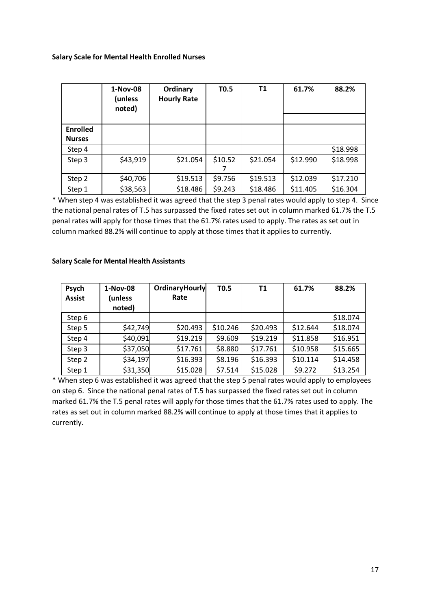### **Salary Scale for Mental Health Enrolled Nurses**

|                                  | 1-Nov-08<br>(unless<br>noted) | Ordinary<br><b>Hourly Rate</b> | <b>T0.5</b> | Τ1       | 61.7%    | 88.2%    |
|----------------------------------|-------------------------------|--------------------------------|-------------|----------|----------|----------|
| <b>Enrolled</b><br><b>Nurses</b> |                               |                                |             |          |          |          |
| Step 4                           |                               |                                |             |          |          | \$18.998 |
| Step 3                           | \$43,919                      | \$21.054                       | \$10.52     | \$21.054 | \$12.990 | \$18.998 |
| Step 2                           | \$40,706                      | \$19.513                       | \$9.756     | \$19.513 | \$12.039 | \$17.210 |
| Step 1                           | \$38,563                      | \$18.486                       | \$9.243     | \$18.486 | \$11.405 | \$16.304 |

\* When step 4 was established it was agreed that the step 3 penal rates would apply to step 4. Since the national penal rates of T.5 has surpassed the fixed rates set out in column marked 61.7% the T.5 penal rates will apply for those times that the 61.7% rates used to apply. The rates as set out in column marked 88.2% will continue to apply at those times that it applies to currently.

| Psych<br><b>Assist</b> | 1-Nov-08<br>(unless<br>noted) | OrdinaryHourly<br>Rate | T <sub>0.5</sub> | T1       | 61.7%    | 88.2%    |
|------------------------|-------------------------------|------------------------|------------------|----------|----------|----------|
| Step 6                 |                               |                        |                  |          |          | \$18.074 |
| Step 5                 | \$42,749                      | \$20.493               | \$10.246         | \$20.493 | \$12.644 | \$18.074 |
| Step 4                 | \$40,091                      | \$19.219               | \$9.609          | \$19.219 | \$11.858 | \$16.951 |
| Step 3                 | \$37,050                      | \$17.761               | \$8.880          | \$17.761 | \$10.958 | \$15.665 |
| Step 2                 | \$34,197                      | \$16.393               | \$8.196          | \$16.393 | \$10.114 | \$14.458 |
| Step 1                 | \$31,350                      | \$15.028               | \$7.514          | \$15.028 | \$9.272  | \$13.254 |

### **Salary Scale for Mental Health Assistants**

\* When step 6 was established it was agreed that the step 5 penal rates would apply to employees on step 6. Since the national penal rates of T.5 has surpassed the fixed rates set out in column marked 61.7% the T.5 penal rates will apply for those times that the 61.7% rates used to apply. The rates as set out in column marked 88.2% will continue to apply at those times that it applies to currently.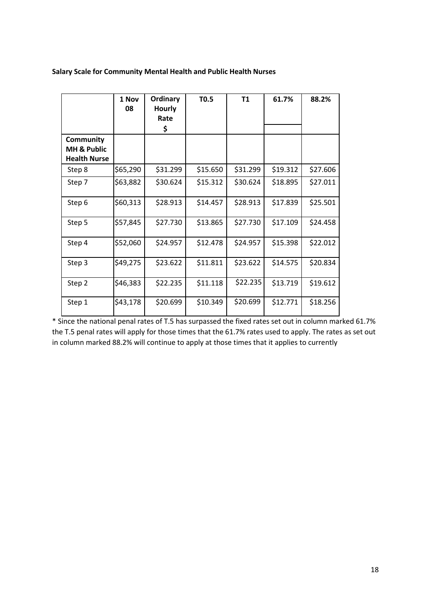## **Salary Scale for Community Mental Health and Public Health Nurses**

|                                                            | 1 Nov<br>08 | <b>Ordinary</b><br><b>Hourly</b><br>Rate<br>\$ | T0.5     | <b>T1</b> | 61.7%    | 88.2%    |
|------------------------------------------------------------|-------------|------------------------------------------------|----------|-----------|----------|----------|
| Community<br><b>MH &amp; Public</b><br><b>Health Nurse</b> |             |                                                |          |           |          |          |
| Step 8                                                     | \$65,290    | \$31.299                                       | \$15.650 | \$31.299  | \$19.312 | \$27.606 |
| Step 7                                                     | \$63,882    | \$30.624                                       | \$15.312 | \$30.624  | \$18.895 | \$27.011 |
| Step 6                                                     | \$60,313    | \$28.913                                       | \$14.457 | \$28.913  | \$17.839 | \$25.501 |
| Step 5                                                     | \$57,845    | \$27.730                                       | \$13.865 | \$27.730  | \$17.109 | \$24.458 |
| Step 4                                                     | \$52,060    | \$24.957                                       | \$12.478 | \$24.957  | \$15.398 | \$22.012 |
| Step 3                                                     | \$49,275    | \$23.622                                       | \$11.811 | \$23.622  | \$14.575 | \$20.834 |
| Step 2                                                     | \$46,383    | \$22.235                                       | \$11.118 | \$22.235  | \$13.719 | \$19.612 |
| Step 1                                                     | \$43,178    | \$20.699                                       | \$10.349 | \$20.699  | \$12.771 | \$18.256 |

\* Since the national penal rates of T.5 has surpassed the fixed rates set out in column marked 61.7% the T.5 penal rates will apply for those times that the 61.7% rates used to apply. The rates as set out in column marked 88.2% will continue to apply at those times that it applies to currently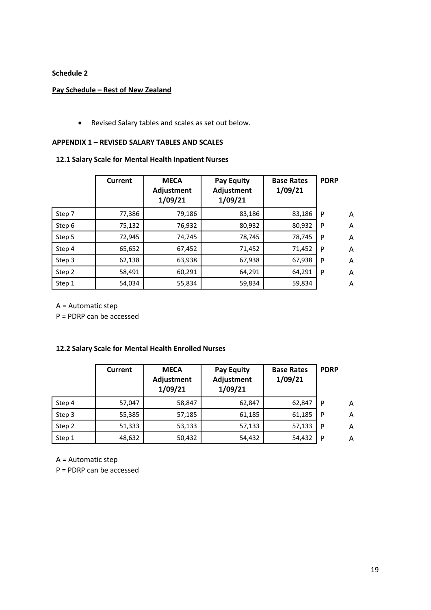## **Schedule 2**

### **Pay Schedule – Rest of New Zealand**

• Revised Salary tables and scales as set out below.

### **APPENDIX 1 – REVISED SALARY TABLES AND SCALES**

### **12.1 Salary Scale for Mental Health Inpatient Nurses**

|        | Current | <b>MECA</b><br>Adjustment<br>1/09/21 | <b>Pay Equity</b><br>Adjustment<br>1/09/21 | <b>Base Rates</b><br>1/09/21 | <b>PDRP</b> |   |
|--------|---------|--------------------------------------|--------------------------------------------|------------------------------|-------------|---|
| Step 7 | 77,386  | 79,186                               | 83,186                                     | 83,186                       | P           | A |
| Step 6 | 75,132  | 76,932                               | 80,932                                     | 80,932                       | P           | A |
| Step 5 | 72,945  | 74,745                               | 78,745                                     | 78,745                       | P           | A |
| Step 4 | 65,652  | 67,452                               | 71,452                                     | 71,452                       | P           | A |
| Step 3 | 62,138  | 63,938                               | 67,938                                     | 67,938                       | P           | A |
| Step 2 | 58,491  | 60,291                               | 64,291                                     | 64,291                       | P           | A |
| Step 1 | 54,034  | 55,834                               | 59,834                                     | 59,834                       |             | A |

A = Automatic step

P = PDRP can be accessed

### **12.2 Salary Scale for Mental Health Enrolled Nurses**

|        | Current | <b>MECA</b><br><b>Adjustment</b><br>1/09/21 | <b>Pay Equity</b><br>Adjustment<br>1/09/21 | <b>Base Rates</b><br>1/09/21 | <b>PDRP</b> |   |
|--------|---------|---------------------------------------------|--------------------------------------------|------------------------------|-------------|---|
| Step 4 | 57,047  | 58,847                                      | 62,847                                     | 62,847                       | P           | Α |
| Step 3 | 55,385  | 57,185                                      | 61,185                                     | 61,185                       | P           | A |
| Step 2 | 51,333  | 53,133                                      | 57,133                                     | 57,133                       | P           | A |
| Step 1 | 48,632  | 50,432                                      | 54,432                                     | 54,432                       | P           | A |

A = Automatic step

P = PDRP can be accessed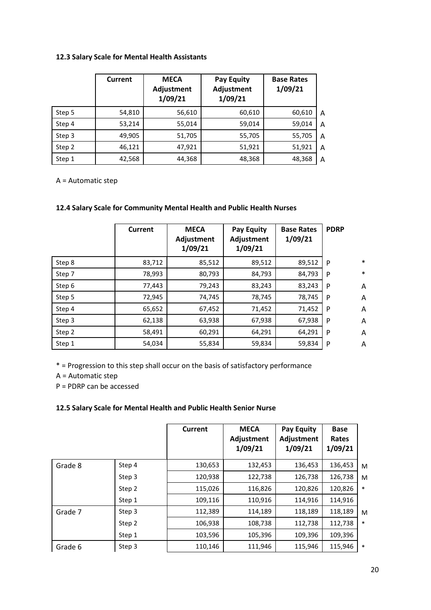## **12.3 Salary Scale for Mental Health Assistants**

|        | <b>Current</b> | <b>MECA</b><br><b>Adjustment</b><br>1/09/21 | <b>Pay Equity</b><br>Adjustment<br>1/09/21 | <b>Base Rates</b><br>1/09/21 |   |
|--------|----------------|---------------------------------------------|--------------------------------------------|------------------------------|---|
| Step 5 | 54,810         | 56,610                                      | 60,610                                     | 60,610                       | Α |
| Step 4 | 53,214         | 55,014                                      | 59,014                                     | 59,014                       | Α |
| Step 3 | 49,905         | 51,705                                      | 55,705                                     | 55,705                       | Α |
| Step 2 | 46,121         | 47,921                                      | 51,921                                     | 51,921                       | Α |
| Step 1 | 42,568         | 44,368                                      | 48,368                                     | 48,368                       | Α |

A = Automatic step

## **12.4 Salary Scale for Community Mental Health and Public Health Nurses**

|        | Current | <b>MECA</b><br>Adjustment<br>1/09/21 | <b>Pay Equity</b><br>Adjustment<br>1/09/21 | <b>Base Rates</b><br>1/09/21 | <b>PDRP</b> |        |
|--------|---------|--------------------------------------|--------------------------------------------|------------------------------|-------------|--------|
| Step 8 | 83,712  | 85,512                               | 89,512                                     | 89,512                       | P           | $\ast$ |
| Step 7 | 78,993  | 80,793                               | 84,793                                     | 84,793                       | P           | $\ast$ |
| Step 6 | 77,443  | 79,243                               | 83,243                                     | 83,243                       | P           | A      |
| Step 5 | 72,945  | 74,745                               | 78,745                                     | 78,745                       | P           | A      |
| Step 4 | 65,652  | 67,452                               | 71,452                                     | 71,452                       | P           | Α      |
| Step 3 | 62,138  | 63,938                               | 67,938                                     | 67,938                       | P           | A      |
| Step 2 | 58,491  | 60,291                               | 64,291                                     | 64,291                       | P           | A      |
| Step 1 | 54,034  | 55,834                               | 59,834                                     | 59,834                       | P           | A      |

\* = Progression to this step shall occur on the basis of satisfactory performance

A = Automatic step

P = PDRP can be accessed

## **12.5 Salary Scale for Mental Health and Public Health Senior Nurse**

|         |        | Current | <b>MECA</b><br>Adjustment<br>1/09/21 | Pay Equity<br>Adjustment<br>1/09/21 | <b>Base</b><br>Rates<br>1/09/21 |        |
|---------|--------|---------|--------------------------------------|-------------------------------------|---------------------------------|--------|
| Grade 8 | Step 4 | 130,653 | 132,453                              | 136,453                             | 136,453                         | M      |
|         | Step 3 | 120,938 | 122,738                              | 126,738                             | 126,738                         | M      |
|         | Step 2 | 115,026 | 116,826                              | 120,826                             | 120,826                         | $\ast$ |
|         | Step 1 | 109,116 | 110,916                              | 114,916                             | 114,916                         |        |
| Grade 7 | Step 3 | 112,389 | 114,189                              | 118,189                             | 118,189                         | M      |
|         | Step 2 | 106,938 | 108,738                              | 112,738                             | 112,738                         | $\ast$ |
|         | Step 1 | 103,596 | 105,396                              | 109,396                             | 109,396                         |        |
| Grade 6 | Step 3 | 110,146 | 111,946                              | 115,946                             | 115,946                         | $\ast$ |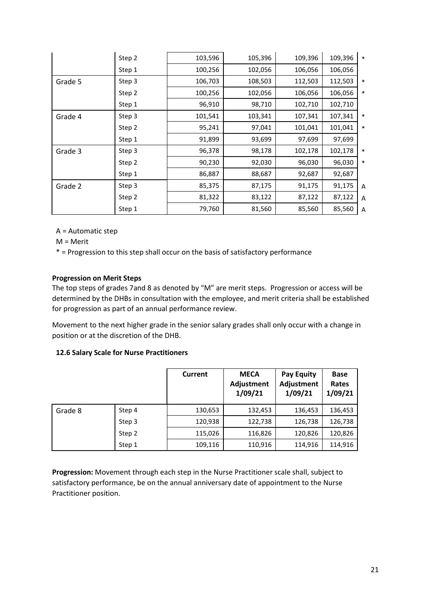|         | Step 2 | 103,596 | 105,396 | 109,396 | 109,396 | $\ast$         |
|---------|--------|---------|---------|---------|---------|----------------|
|         | Step 1 | 100,256 | 102,056 | 106,056 | 106,056 |                |
| Grade 5 | Step 3 | 106,703 | 108,503 | 112,503 | 112,503 | $\ast$         |
|         | Step 2 | 100,256 | 102,056 | 106,056 | 106,056 | $\ast$         |
|         | Step 1 | 96,910  | 98,710  | 102,710 | 102,710 |                |
| Grade 4 | Step 3 | 101,541 | 103,341 | 107,341 | 107,341 | *              |
|         | Step 2 | 95,241  | 97,041  | 101,041 | 101,041 | *              |
|         | Step 1 | 91,899  | 93,699  | 97,699  | 97,699  |                |
| Grade 3 | Step 3 | 96,378  | 98,178  | 102,178 | 102,178 | *              |
|         | Step 2 | 90,230  | 92,030  | 96,030  | 96,030  | $\ast$         |
|         | Step 1 | 86,887  | 88,687  | 92,687  | 92,687  |                |
| Grade 2 | Step 3 | 85,375  | 87,175  | 91,175  | 91,175  | $\overline{A}$ |
|         | Step 2 | 81,322  | 83,122  | 87,122  | 87,122  | A              |
|         | Step 1 | 79,760  | 81,560  | 85,560  | 85,560  | A              |

A = Automatic step

M = Merit

\* = Progression to this step shall occur on the basis of satisfactory performance

### **Progression on Merit Steps**

The top steps of grades 7and 8 as denoted by "M" are merit steps. Progression or access will be determined by the DHBs in consultation with the employee, and merit criteria shall be established for progression as part of an annual performance review.

Movement to the next higher grade in the senior salary grades shall only occur with a change in position or at the discretion of the DHB.

### **12.6 Salary Scale for Nurse Practitioners**

|         |        | Current | <b>MECA</b><br><b>Adjustment</b><br>1/09/21 | <b>Pay Equity</b><br>Adjustment<br>1/09/21 | <b>Base</b><br>Rates<br>1/09/21 |
|---------|--------|---------|---------------------------------------------|--------------------------------------------|---------------------------------|
| Grade 8 | Step 4 | 130,653 | 132,453                                     | 136,453                                    | 136,453                         |
|         | Step 3 | 120,938 | 122,738                                     | 126,738                                    | 126,738                         |
|         | Step 2 | 115,026 | 116,826                                     | 120,826                                    | 120,826                         |
|         | Step 1 | 109,116 | 110,916                                     | 114,916                                    | 114,916                         |

**Progression:** Movement through each step in the Nurse Practitioner scale shall, subject to satisfactory performance, be on the annual anniversary date of appointment to the Nurse Practitioner position.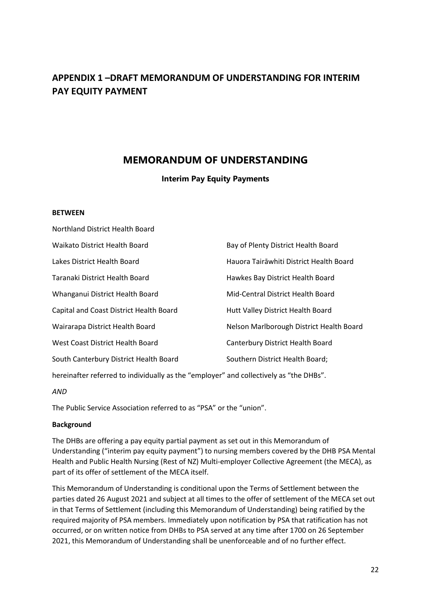# **APPENDIX 1 –DRAFT MEMORANDUM OF UNDERSTANDING FOR INTERIM PAY EQUITY PAYMENT**

# **MEMORANDUM OF UNDERSTANDING**

## **Interim Pay Equity Payments**

### **BETWEEN**

| Northland District Health Board         |                                          |
|-----------------------------------------|------------------------------------------|
| <b>Waikato District Health Board</b>    | Bay of Plenty District Health Board      |
| Lakes District Health Board             | Hauora Tairāwhiti District Health Board  |
| Taranaki District Health Board          | Hawkes Bay District Health Board         |
| Whanganui District Health Board         | Mid-Central District Health Board        |
| Capital and Coast District Health Board | Hutt Valley District Health Board        |
| Wairarapa District Health Board         | Nelson Marlborough District Health Board |
| West Coast District Health Board        | Canterbury District Health Board         |
| South Canterbury District Health Board  | Southern District Health Board;          |
|                                         |                                          |

hereinafter referred to individually as the "employer" and collectively as "the DHBs".

*AND*

The Public Service Association referred to as "PSA" or the "union".

## **Background**

The DHBs are offering a pay equity partial payment as set out in this Memorandum of Understanding ("interim pay equity payment") to nursing members covered by the DHB PSA Mental Health and Public Health Nursing (Rest of NZ) Multi-employer Collective Agreement (the MECA), as part of its offer of settlement of the MECA itself.

This Memorandum of Understanding is conditional upon the Terms of Settlement between the parties dated 26 August 2021 and subject at all times to the offer of settlement of the MECA set out in that Terms of Settlement (including this Memorandum of Understanding) being ratified by the required majority of PSA members. Immediately upon notification by PSA that ratification has not occurred, or on written notice from DHBs to PSA served at any time after 1700 on 26 September 2021, this Memorandum of Understanding shall be unenforceable and of no further effect.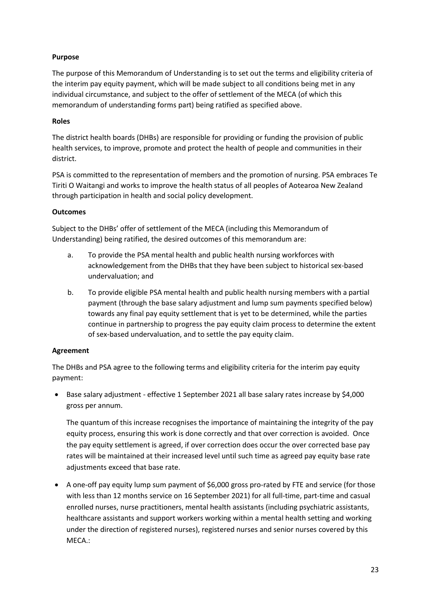## **Purpose**

The purpose of this Memorandum of Understanding is to set out the terms and eligibility criteria of the interim pay equity payment, which will be made subject to all conditions being met in any individual circumstance, and subject to the offer of settlement of the MECA (of which this memorandum of understanding forms part) being ratified as specified above.

## **Roles**

The district health boards (DHBs) are responsible for providing or funding the provision of public health services, to improve, promote and protect the health of people and communities in their district.

PSA is committed to the representation of members and the promotion of nursing. PSA embraces Te Tiriti O Waitangi and works to improve the health status of all peoples of Aotearoa New Zealand through participation in health and social policy development.

## **Outcomes**

Subject to the DHBs' offer of settlement of the MECA (including this Memorandum of Understanding) being ratified, the desired outcomes of this memorandum are:

- a. To provide the PSA mental health and public health nursing workforces with acknowledgement from the DHBs that they have been subject to historical sex-based undervaluation; and
- b. To provide eligible PSA mental health and public health nursing members with a partial payment (through the base salary adjustment and lump sum payments specified below) towards any final pay equity settlement that is yet to be determined, while the parties continue in partnership to progress the pay equity claim process to determine the extent of sex-based undervaluation, and to settle the pay equity claim.

## **Agreement**

The DHBs and PSA agree to the following terms and eligibility criteria for the interim pay equity payment:

• Base salary adjustment - effective 1 September 2021 all base salary rates increase by \$4,000 gross per annum.

The quantum of this increase recognises the importance of maintaining the integrity of the pay equity process, ensuring this work is done correctly and that over correction is avoided. Once the pay equity settlement is agreed, if over correction does occur the over corrected base pay rates will be maintained at their increased level until such time as agreed pay equity base rate adjustments exceed that base rate.

• A one-off pay equity lump sum payment of \$6,000 gross pro-rated by FTE and service (for those with less than 12 months service on 16 September 2021) for all full-time, part-time and casual enrolled nurses, nurse practitioners, mental health assistants (including psychiatric assistants, healthcare assistants and support workers working within a mental health setting and working under the direction of registered nurses), registered nurses and senior nurses covered by this MECA.: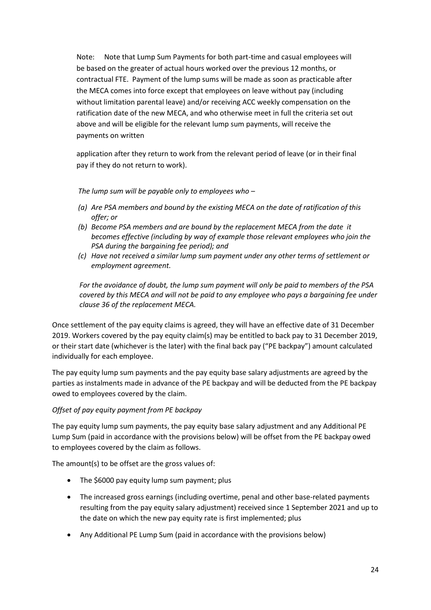Note: Note that Lump Sum Payments for both part-time and casual employees will be based on the greater of actual hours worked over the previous 12 months, or contractual FTE. Payment of the lump sums will be made as soon as practicable after the MECA comes into force except that employees on leave without pay (including without limitation parental leave) and/or receiving ACC weekly compensation on the ratification date of the new MECA, and who otherwise meet in full the criteria set out above and will be eligible for the relevant lump sum payments, will receive the payments on written

application after they return to work from the relevant period of leave (or in their final pay if they do not return to work).

*The lump sum will be payable only to employees who –*

- *(a) Are PSA members and bound by the existing MECA on the date of ratification of this offer; or*
- *(b) Become PSA members and are bound by the replacement MECA from the date it becomes effective (including by way of example those relevant employees who join the PSA during the bargaining fee period); and*
- *(c) Have not received a similar lump sum payment under any other terms of settlement or employment agreement.*

*For the avoidance of doubt, the lump sum payment will only be paid to members of the PSA covered by this MECA and will not be paid to any employee who pays a bargaining fee under clause 36 of the replacement MECA.*

Once settlement of the pay equity claims is agreed, they will have an effective date of 31 December 2019. Workers covered by the pay equity claim(s) may be entitled to back pay to 31 December 2019, or their start date (whichever is the later) with the final back pay ("PE backpay") amount calculated individually for each employee.

The pay equity lump sum payments and the pay equity base salary adjustments are agreed by the parties as instalments made in advance of the PE backpay and will be deducted from the PE backpay owed to employees covered by the claim.

## *Offset of pay equity payment from PE backpay*

The pay equity lump sum payments, the pay equity base salary adjustment and any Additional PE Lump Sum (paid in accordance with the provisions below) will be offset from the PE backpay owed to employees covered by the claim as follows.

The amount(s) to be offset are the gross values of:

- The \$6000 pay equity lump sum payment; plus
- The increased gross earnings (including overtime, penal and other base-related payments resulting from the pay equity salary adjustment) received since 1 September 2021 and up to the date on which the new pay equity rate is first implemented; plus
- Any Additional PE Lump Sum (paid in accordance with the provisions below)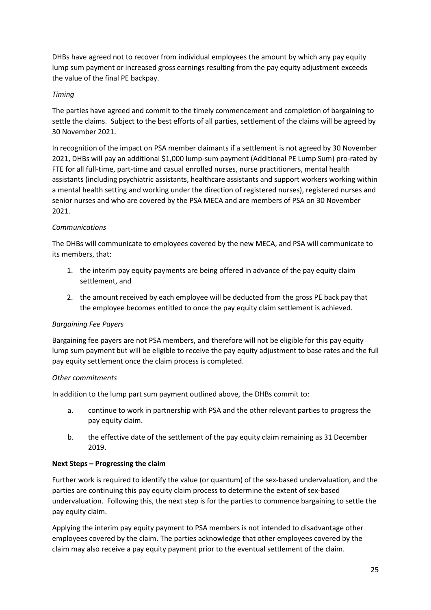DHBs have agreed not to recover from individual employees the amount by which any pay equity lump sum payment or increased gross earnings resulting from the pay equity adjustment exceeds the value of the final PE backpay.

### *Timing*

The parties have agreed and commit to the timely commencement and completion of bargaining to settle the claims. Subject to the best efforts of all parties, settlement of the claims will be agreed by 30 November 2021.

In recognition of the impact on PSA member claimants if a settlement is not agreed by 30 November 2021, DHBs will pay an additional \$1,000 lump-sum payment (Additional PE Lump Sum) pro-rated by FTE for all full-time, part-time and casual enrolled nurses, nurse practitioners, mental health assistants (including psychiatric assistants, healthcare assistants and support workers working within a mental health setting and working under the direction of registered nurses), registered nurses and senior nurses and who are covered by the PSA MECA and are members of PSA on 30 November 2021.

## *Communications*

The DHBs will communicate to employees covered by the new MECA, and PSA will communicate to its members, that:

- 1. the interim pay equity payments are being offered in advance of the pay equity claim settlement, and
- 2. the amount received by each employee will be deducted from the gross PE back pay that the employee becomes entitled to once the pay equity claim settlement is achieved.

### *Bargaining Fee Payers*

Bargaining fee payers are not PSA members, and therefore will not be eligible for this pay equity lump sum payment but will be eligible to receive the pay equity adjustment to base rates and the full pay equity settlement once the claim process is completed.

### *Other commitments*

In addition to the lump part sum payment outlined above, the DHBs commit to:

- a. continue to work in partnership with PSA and the other relevant parties to progress the pay equity claim.
- b. the effective date of the settlement of the pay equity claim remaining as 31 December 2019.

### **Next Steps – Progressing the claim**

Further work is required to identify the value (or quantum) of the sex-based undervaluation, and the parties are continuing this pay equity claim process to determine the extent of sex-based undervaluation. Following this, the next step is for the parties to commence bargaining to settle the pay equity claim.

Applying the interim pay equity payment to PSA members is not intended to disadvantage other employees covered by the claim. The parties acknowledge that other employees covered by the claim may also receive a pay equity payment prior to the eventual settlement of the claim.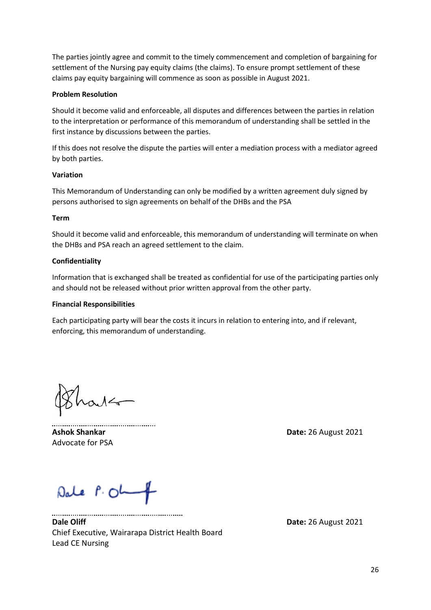The parties jointly agree and commit to the timely commencement and completion of bargaining for settlement of the Nursing pay equity claims (the claims). To ensure prompt settlement of these claims pay equity bargaining will commence as soon as possible in August 2021.

### **Problem Resolution**

Should it become valid and enforceable, all disputes and differences between the parties in relation to the interpretation or performance of this memorandum of understanding shall be settled in the first instance by discussions between the parties.

If this does not resolve the dispute the parties will enter a mediation process with a mediator agreed by both parties.

### **Variation**

This Memorandum of Understanding can only be modified by a written agreement duly signed by persons authorised to sign agreements on behalf of the DHBs and the PSA

### **Term**

Should it become valid and enforceable, this memorandum of understanding will terminate on when the DHBs and PSA reach an agreed settlement to the claim.

### **Confidentiality**

Information that is exchanged shall be treated as confidential for use of the participating parties only and should not be released without prior written approval from the other party.

### **Financial Responsibilities**

Each participating party will bear the costs it incurs in relation to entering into, and if relevant, enforcing, this memorandum of understanding.

 $\mathcal{N}$ 

Advocate for PSA

**Ashok Shankar Date:** 26 August 2021

Dale P. OL

......................................

**Dale Oliff Date:** 26 August 2021 Chief Executive, Wairarapa District Health Board Lead CE Nursing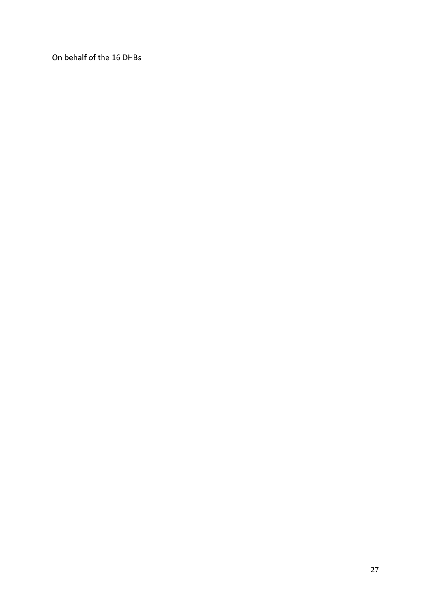On behalf of the 16 DHBs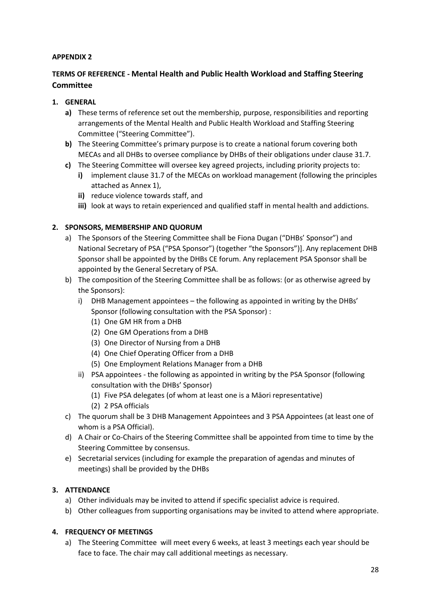## **APPENDIX 2**

# **TERMS OF REFERENCE - Mental Health and Public Health Workload and Staffing Steering Committee**

## **1. GENERAL**

- **a)** These terms of reference set out the membership, purpose, responsibilities and reporting arrangements of the Mental Health and Public Health Workload and Staffing Steering Committee ("Steering Committee").
- **b)** The Steering Committee's primary purpose is to create a national forum covering both MECAs and all DHBs to oversee compliance by DHBs of their obligations under clause 31.7.
- **c)** The Steering Committee will oversee key agreed projects, including priority projects to:
	- **i)** implement clause 31.7 of the MECAs on workload management (following the principles attached as Annex 1),
	- **ii)** reduce violence towards staff, and
	- **iii)** look at ways to retain experienced and qualified staff in mental health and addictions.

## **2. SPONSORS, MEMBERSHIP AND QUORUM**

- a) The Sponsors of the Steering Committee shall be Fiona Dugan ("DHBs' Sponsor") and National Secretary of PSA ("PSA Sponsor") (together "the Sponsors")]. Any replacement DHB Sponsor shall be appointed by the DHBs CE forum. Any replacement PSA Sponsor shall be appointed by the General Secretary of PSA.
- b) The composition of the Steering Committee shall be as follows: (or as otherwise agreed by the Sponsors):
	- i) DHB Management appointees the following as appointed in writing by the DHBs' Sponsor (following consultation with the PSA Sponsor) :
		- (1) One GM HR from a DHB
		- (2) One GM Operations from a DHB
		- (3) One Director of Nursing from a DHB
		- (4) One Chief Operating Officer from a DHB
		- (5) One Employment Relations Manager from a DHB
	- ii) PSA appointees the following as appointed in writing by the PSA Sponsor (following consultation with the DHBs' Sponsor)
		- (1) Five PSA delegates (of whom at least one is a Māori representative)
		- (2) 2 PSA officials
- c) The quorum shall be 3 DHB Management Appointees and 3 PSA Appointees (at least one of whom is a PSA Official).
- d) A Chair or Co-Chairs of the Steering Committee shall be appointed from time to time by the Steering Committee by consensus.
- e) Secretarial services (including for example the preparation of agendas and minutes of meetings) shall be provided by the DHBs

## **3. ATTENDANCE**

- a) Other individuals may be invited to attend if specific specialist advice is required.
- b) Other colleagues from supporting organisations may be invited to attend where appropriate.

## **4. FREQUENCY OF MEETINGS**

a) The Steering Committee will meet every 6 weeks, at least 3 meetings each year should be face to face. The chair may call additional meetings as necessary.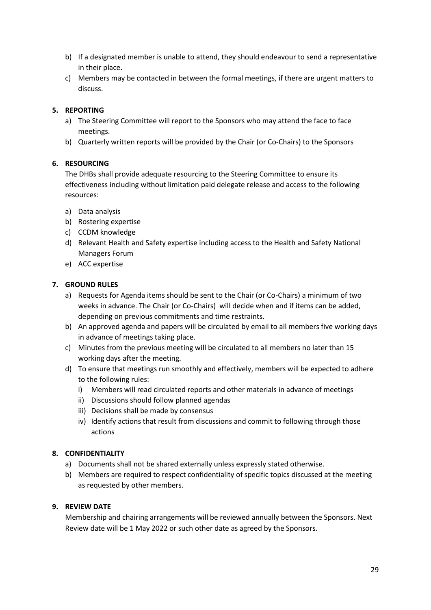- b) If a designated member is unable to attend, they should endeavour to send a representative in their place.
- c) Members may be contacted in between the formal meetings, if there are urgent matters to discuss.

## **5. REPORTING**

- a) The Steering Committee will report to the Sponsors who may attend the face to face meetings.
- b) Quarterly written reports will be provided by the Chair (or Co-Chairs) to the Sponsors

## **6. RESOURCING**

The DHBs shall provide adequate resourcing to the Steering Committee to ensure its effectiveness including without limitation paid delegate release and access to the following resources:

- a) Data analysis
- b) Rostering expertise
- c) CCDM knowledge
- d) Relevant Health and Safety expertise including access to the Health and Safety National Managers Forum
- e) ACC expertise

## **7. GROUND RULES**

- a) Requests for Agenda items should be sent to the Chair (or Co-Chairs) a minimum of two weeks in advance. The Chair (or Co-Chairs) will decide when and if items can be added, depending on previous commitments and time restraints.
- b) An approved agenda and papers will be circulated by email to all members five working days in advance of meetings taking place.
- c) Minutes from the previous meeting will be circulated to all members no later than 15 working days after the meeting.
- d) To ensure that meetings run smoothly and effectively, members will be expected to adhere to the following rules:
	- i) Members will read circulated reports and other materials in advance of meetings
	- ii) Discussions should follow planned agendas
	- iii) Decisions shall be made by consensus
	- iv) Identify actions that result from discussions and commit to following through those actions

## **8. CONFIDENTIALITY**

- a) Documents shall not be shared externally unless expressly stated otherwise.
- b) Members are required to respect confidentiality of specific topics discussed at the meeting as requested by other members.

## **9. REVIEW DATE**

Membership and chairing arrangements will be reviewed annually between the Sponsors. Next Review date will be 1 May 2022 or such other date as agreed by the Sponsors.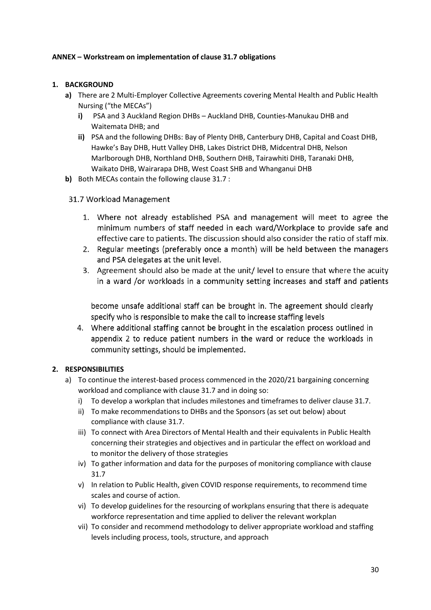### **ANNEX – Workstream on implementation of clause 31.7 obligations**

### **1. BACKGROUND**

- **a)** There are 2 Multi-Employer Collective Agreements covering Mental Health and Public Health Nursing ("the MECAs")
	- **i)** PSA and 3 Auckland Region DHBs Auckland DHB, Counties-Manukau DHB and Waitemata DHB; and
	- **ii)** PSA and the following DHBs: Bay of Plenty DHB, Canterbury DHB, Capital and Coast DHB, Hawke's Bay DHB, Hutt Valley DHB, Lakes District DHB, Midcentral DHB, Nelson Marlborough DHB, Northland DHB, Southern DHB, Tairawhiti DHB, Taranaki DHB, Waikato DHB, Wairarapa DHB, West Coast SHB and Whanganui DHB
- **b)** Both MECAs contain the following clause 31.7 :
- 31.7 Workload Management
	- 1. Where not already established PSA and management will meet to agree the minimum numbers of staff needed in each ward/Workplace to provide safe and effective care to patients. The discussion should also consider the ratio of staff mix.
	- 2. Regular meetings (preferably once a month) will be held between the managers and PSA delegates at the unit level.
	- 3. Agreement should also be made at the unit/level to ensure that where the acuity in a ward /or workloads in a community setting increases and staff and patients

become unsafe additional staff can be brought in. The agreement should clearly specify who is responsible to make the call to increase staffing levels

4. Where additional staffing cannot be brought in the escalation process outlined in appendix 2 to reduce patient numbers in the ward or reduce the workloads in community settings, should be implemented.

## **2. RESPONSIBILITIES**

- a) To continue the interest-based process commenced in the 2020/21 bargaining concerning workload and compliance with clause 31.7 and in doing so:
	- i) To develop a workplan that includes milestones and timeframes to deliver clause 31.7.
	- ii) To make recommendations to DHBs and the Sponsors (as set out below) about compliance with clause 31.7.
	- iii) To connect with Area Directors of Mental Health and their equivalents in Public Health concerning their strategies and objectives and in particular the effect on workload and to monitor the delivery of those strategies
	- iv) To gather information and data for the purposes of monitoring compliance with clause 31.7
	- v) In relation to Public Health, given COVID response requirements, to recommend time scales and course of action.
	- vi) To develop guidelines for the resourcing of workplans ensuring that there is adequate workforce representation and time applied to deliver the relevant workplan
	- vii) To consider and recommend methodology to deliver appropriate workload and staffing levels including process, tools, structure, and approach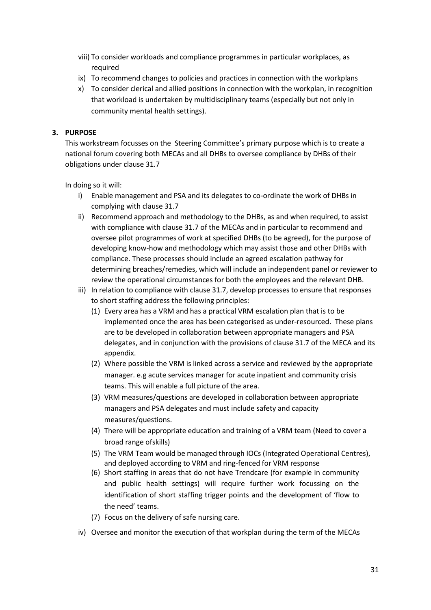- viii) To consider workloads and compliance programmes in particular workplaces, as required
- ix) To recommend changes to policies and practices in connection with the workplans
- x) To consider clerical and allied positions in connection with the workplan, in recognition that workload is undertaken by multidisciplinary teams (especially but not only in community mental health settings).

## **3. PURPOSE**

This workstream focusses on the Steering Committee's primary purpose which is to create a national forum covering both MECAs and all DHBs to oversee compliance by DHBs of their obligations under clause 31.7

In doing so it will:

- i) Enable management and PSA and its delegates to co-ordinate the work of DHBs in complying with clause 31.7
- ii) Recommend approach and methodology to the DHBs, as and when required, to assist with compliance with clause 31.7 of the MECAs and in particular to recommend and oversee pilot programmes of work at specified DHBs (to be agreed), for the purpose of developing know-how and methodology which may assist those and other DHBs with compliance. These processes should include an agreed escalation pathway for determining breaches/remedies, which will include an independent panel or reviewer to review the operational circumstances for both the employees and the relevant DHB.
- iii) In relation to compliance with clause 31.7, develop processes to ensure that responses to short staffing address the following principles:
	- (1) Every area has a VRM and has a practical VRM escalation plan that is to be implemented once the area has been categorised as under-resourced. These plans are to be developed in collaboration between appropriate managers and PSA delegates, and in conjunction with the provisions of clause 31.7 of the MECA and its appendix.
	- (2) Where possible the VRM is linked across a service and reviewed by the appropriate manager. e.g acute services manager for acute inpatient and community crisis teams. This will enable a full picture of the area.
	- (3) VRM measures/questions are developed in collaboration between appropriate managers and PSA delegates and must include safety and capacity measures/questions.
	- (4) There will be appropriate education and training of a VRM team (Need to cover a broad range ofskills)
	- (5) The VRM Team would be managed through IOCs (Integrated Operational Centres), and deployed according to VRM and ring-fenced for VRM response
	- (6) Short staffing in areas that do not have Trendcare (for example in community and public health settings) will require further work focussing on the identification of short staffing trigger points and the development of 'flow to the need' teams.
	- (7) Focus on the delivery of safe nursing care.
- iv) Oversee and monitor the execution of that workplan during the term of the MECAs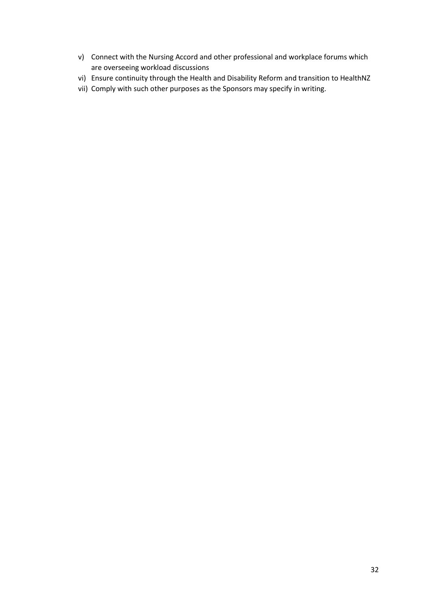- v) Connect with the Nursing Accord and other professional and workplace forums which are overseeing workload discussions
- vi) Ensure continuity through the Health and Disability Reform and transition to HealthNZ
- vii) Comply with such other purposes as the Sponsors may specify in writing.